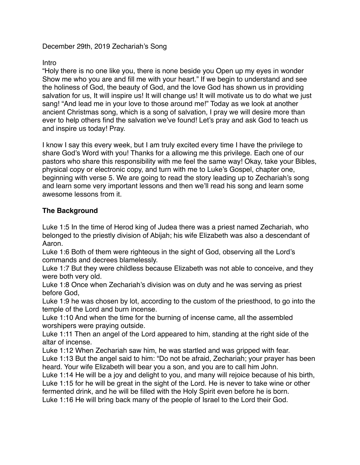December 29th, 2019 Zechariah's Song

#### Intro

"Holy there is no one like you, there is none beside you Open up my eyes in wonder Show me who you are and fill me with your heart." If we begin to understand and see the holiness of God, the beauty of God, and the love God has shown us in providing salvation for us, It will inspire us! It will change us! It will motivate us to do what we just sang! "And lead me in your love to those around me!" Today as we look at another ancient Christmas song, which is a song of salvation, I pray we will desire more than ever to help others find the salvation we've found! Let's pray and ask God to teach us and inspire us today! Pray.

I know I say this every week, but I am truly excited every time I have the privilege to share God's Word with you! Thanks for a allowing me this privilege. Each one of our pastors who share this responsibility with me feel the same way! Okay, take your Bibles, physical copy or electronic copy, and turn with me to Luke's Gospel, chapter one, beginning with verse 5. We are going to read the story leading up to Zechariah's song and learn some very important lessons and then we'll read his song and learn some awesome lessons from it.

# **The Background**

Luke 1:5 In the time of Herod king of Judea there was a priest named Zechariah, who belonged to the priestly division of Abijah; his wife Elizabeth was also a descendant of Aaron.

Luke 1:6 Both of them were righteous in the sight of God, observing all the Lord's commands and decrees blamelessly.

Luke 1:7 But they were childless because Elizabeth was not able to conceive, and they were both very old.

Luke 1:8 Once when Zechariah's division was on duty and he was serving as priest before God,

Luke 1:9 he was chosen by lot, according to the custom of the priesthood, to go into the temple of the Lord and burn incense.

Luke 1:10 And when the time for the burning of incense came, all the assembled worshipers were praying outside.

Luke 1:11 Then an angel of the Lord appeared to him, standing at the right side of the altar of incense.

Luke 1:12 When Zechariah saw him, he was startled and was gripped with fear.

Luke 1:13 But the angel said to him: "Do not be afraid, Zechariah; your prayer has been heard. Your wife Elizabeth will bear you a son, and you are to call him John.

Luke 1:14 He will be a joy and delight to you, and many will rejoice because of his birth, Luke 1:15 for he will be great in the sight of the Lord. He is never to take wine or other fermented drink, and he will be filled with the Holy Spirit even before he is born.

Luke 1:16 He will bring back many of the people of Israel to the Lord their God.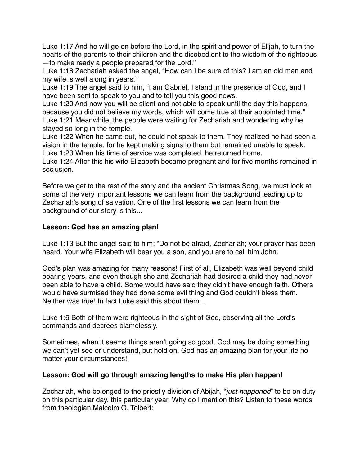Luke 1:17 And he will go on before the Lord, in the spirit and power of Elijah, to turn the hearts of the parents to their children and the disobedient to the wisdom of the righteous —to make ready a people prepared for the Lord."

Luke 1:18 Zechariah asked the angel, "How can I be sure of this? I am an old man and my wife is well along in years."

Luke 1:19 The angel said to him, "I am Gabriel. I stand in the presence of God, and I have been sent to speak to you and to tell you this good news.

Luke 1:20 And now you will be silent and not able to speak until the day this happens, because you did not believe my words, which will come true at their appointed time."

Luke 1:21 Meanwhile, the people were waiting for Zechariah and wondering why he stayed so long in the temple.

Luke 1:22 When he came out, he could not speak to them. They realized he had seen a vision in the temple, for he kept making signs to them but remained unable to speak. Luke 1:23 When his time of service was completed, he returned home.

Luke 1:24 After this his wife Elizabeth became pregnant and for five months remained in seclusion.

Before we get to the rest of the story and the ancient Christmas Song, we must look at some of the very important lessons we can learn from the background leading up to Zechariah's song of salvation. One of the first lessons we can learn from the background of our story is this...

#### **Lesson: God has an amazing plan!**

Luke 1:13 But the angel said to him: "Do not be afraid, Zechariah; your prayer has been heard. Your wife Elizabeth will bear you a son, and you are to call him John.

God's plan was amazing for many reasons! First of all, Elizabeth was well beyond child bearing years, and even though she and Zechariah had desired a child they had never been able to have a child. Some would have said they didn't have enough faith. Others would have surmised they had done some evil thing and God couldn't bless them. Neither was true! In fact Luke said this about them...

Luke 1:6 Both of them were righteous in the sight of God, observing all the Lord's commands and decrees blamelessly.

Sometimes, when it seems things aren't going so good, God may be doing something we can't yet see or understand, but hold on, God has an amazing plan for your life no matter your circumstances!!

#### **Lesson: God will go through amazing lengths to make His plan happen!**

Zechariah, who belonged to the priestly division of Abijah, "*just happened*" to be on duty on this particular day, this particular year. Why do I mention this? Listen to these words from theologian Malcolm O. Tolbert: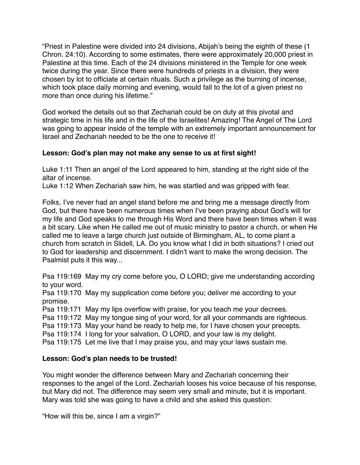"Priest in Palestine were divided into 24 divisions, Abijah's being the eighth of these (1 Chron. 24:10). According to some estimates, there were approximately 20,000 priest in Palestine at this time. Each of the 24 divisions ministered in the Temple for one week twice during the year. Since there were hundreds of priests in a division, they were chosen by lot to officiate at certain rituals. Such a privilege as the burning of incense, which took place daily morning and evening, would fall to the lot of a given priest no more than once during his lifetime."

God worked the details out so that Zechariah could be on duty at this pivotal and strategic time in his life and in the life of the Israelites! Amazing! The Angel of The Lord was going to appear inside of the temple with an extremely important announcement for Israel and Zechariah needed to be the one to receive it!

# **Lesson: God's plan may not make any sense to us at first sight!**

Luke 1:11 Then an angel of the Lord appeared to him, standing at the right side of the altar of incense.

Luke 1:12 When Zechariah saw him, he was startled and was gripped with fear.

Folks, I've never had an angel stand before me and bring me a message directly from God, but there have been numerous times when I've been praying about God's will for my life and God speaks to me through His Word and there have been times when it was a bit scary. Like when He called me out of music ministry to pastor a church, or when He called me to leave a large church just outside of Birmingham, AL, to come plant a church from scratch in Slidell, LA. Do you know what I did in both situations? I cried out to God for leadership and discernment. I didn't want to make the wrong decision. The Psalmist puts it this way...

Psa 119:169 May my cry come before you, O LORD; give me understanding according to your word.

Psa 119:170 May my supplication come before you; deliver me according to your promise.

Psa 119:171 May my lips overflow with praise, for you teach me your decrees.

Psa 119:172 May my tongue sing of your word, for all your commands are righteous.

Psa 119:173 May your hand be ready to help me, for I have chosen your precepts.

Psa 119:174 I long for your salvation, O LORD, and your law is my delight.

Psa 119:175 Let me live that I may praise you, and may your laws sustain me.

# **Lesson: God's plan needs to be trusted!**

You might wonder the difference between Mary and Zechariah concerning their responses to the angel of the Lord. Zechariah looses his voice because of his response, but Mary did not. The difference may seem very small and minute, but it is important. Mary was told she was going to have a child and she asked this question:

"How will this be, since I am a virgin?"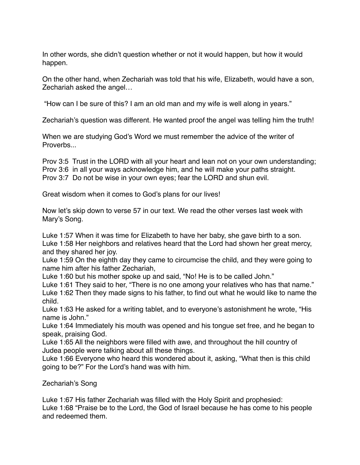In other words, she didn't question whether or not it would happen, but how it would happen.

On the other hand, when Zechariah was told that his wife, Elizabeth, would have a son, Zechariah asked the angel…

"How can I be sure of this? I am an old man and my wife is well along in years."

Zechariah's question was different. He wanted proof the angel was telling him the truth!

When we are studying God's Word we must remember the advice of the writer of Proverbs...

Prov 3:5 Trust in the LORD with all your heart and lean not on your own understanding; Prov 3:6 in all your ways acknowledge him, and he will make your paths straight. Prov 3:7 Do not be wise in your own eyes; fear the LORD and shun evil.

Great wisdom when it comes to God's plans for our lives!

Now let's skip down to verse 57 in our text. We read the other verses last week with Mary's Song.

Luke 1:57 When it was time for Elizabeth to have her baby, she gave birth to a son. Luke 1:58 Her neighbors and relatives heard that the Lord had shown her great mercy, and they shared her joy.

Luke 1:59 On the eighth day they came to circumcise the child, and they were going to name him after his father Zechariah,

Luke 1:60 but his mother spoke up and said, "No! He is to be called John."

Luke 1:61 They said to her, "There is no one among your relatives who has that name."

Luke 1:62 Then they made signs to his father, to find out what he would like to name the child.

Luke 1:63 He asked for a writing tablet, and to everyone's astonishment he wrote, "His name is John."

Luke 1:64 Immediately his mouth was opened and his tongue set free, and he began to speak, praising God.

Luke 1:65 All the neighbors were filled with awe, and throughout the hill country of Judea people were talking about all these things.

Luke 1:66 Everyone who heard this wondered about it, asking, "What then is this child going to be?" For the Lord's hand was with him.

Zechariah's Song

Luke 1:67 His father Zechariah was filled with the Holy Spirit and prophesied: Luke 1:68 "Praise be to the Lord, the God of Israel because he has come to his people and redeemed them.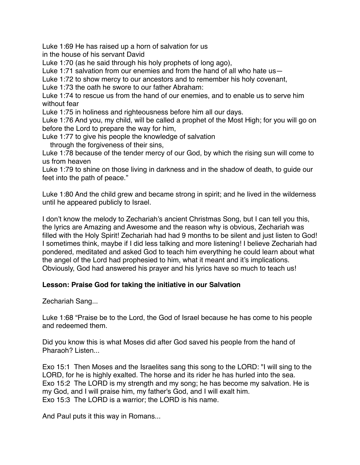Luke 1:69 He has raised up a horn of salvation for us

in the house of his servant David

Luke 1:70 (as he said through his holy prophets of long ago),

Luke 1:71 salvation from our enemies and from the hand of all who hate us—

Luke 1:72 to show mercy to our ancestors and to remember his holy covenant,

Luke 1:73 the oath he swore to our father Abraham:

Luke 1:74 to rescue us from the hand of our enemies, and to enable us to serve him without fear

Luke 1:75 in holiness and righteousness before him all our days.

Luke 1:76 And you, my child, will be called a prophet of the Most High; for you will go on before the Lord to prepare the way for him,

Luke 1:77 to give his people the knowledge of salvation

through the forgiveness of their sins,

Luke 1:78 because of the tender mercy of our God, by which the rising sun will come to us from heaven

Luke 1:79 to shine on those living in darkness and in the shadow of death, to guide our feet into the path of peace."

Luke 1:80 And the child grew and became strong in spirit; and he lived in the wilderness until he appeared publicly to Israel.

I don't know the melody to Zechariah's ancient Christmas Song, but I can tell you this, the lyrics are Amazing and Awesome and the reason why is obvious, Zechariah was filled with the Holy Spirit! Zechariah had had 9 months to be silent and just listen to God! I sometimes think, maybe if I did less talking and more listening! I believe Zechariah had pondered, meditated and asked God to teach him everything he could learn about what the angel of the Lord had prophesied to him, what it meant and it's implications. Obviously, God had answered his prayer and his lyrics have so much to teach us!

# **Lesson: Praise God for taking the initiative in our Salvation**

Zechariah Sang...

Luke 1:68 "Praise be to the Lord, the God of Israel because he has come to his people and redeemed them.

Did you know this is what Moses did after God saved his people from the hand of Pharaoh? Listen...

Exo 15:1 Then Moses and the Israelites sang this song to the LORD: "I will sing to the LORD, for he is highly exalted. The horse and its rider he has hurled into the sea. Exo 15:2 The LORD is my strength and my song; he has become my salvation. He is my God, and I will praise him, my father's God, and I will exalt him. Exo 15:3 The LORD is a warrior; the LORD is his name.

And Paul puts it this way in Romans...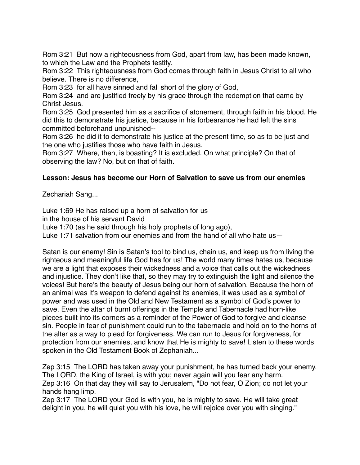Rom 3:21 But now a righteousness from God, apart from law, has been made known, to which the Law and the Prophets testify.

Rom 3:22 This righteousness from God comes through faith in Jesus Christ to all who believe. There is no difference,

Rom 3:23 for all have sinned and fall short of the glory of God,

Rom 3:24 and are justified freely by his grace through the redemption that came by Christ Jesus.

Rom 3:25 God presented him as a sacrifice of atonement, through faith in his blood. He did this to demonstrate his justice, because in his forbearance he had left the sins committed beforehand unpunished--

Rom 3:26 he did it to demonstrate his justice at the present time, so as to be just and the one who justifies those who have faith in Jesus.

Rom 3:27 Where, then, is boasting? It is excluded. On what principle? On that of observing the law? No, but on that of faith.

# **Lesson: Jesus has become our Horn of Salvation to save us from our enemies**

Zechariah Sang...

Luke 1:69 He has raised up a horn of salvation for us

in the house of his servant David

Luke 1:70 (as he said through his holy prophets of long ago),

Luke 1:71 salvation from our enemies and from the hand of all who hate us-

Satan is our enemy! Sin is Satan's tool to bind us, chain us, and keep us from living the righteous and meaningful life God has for us! The world many times hates us, because we are a light that exposes their wickedness and a voice that calls out the wickedness and injustice. They don't like that, so they may try to extinguish the light and silence the voices! But here's the beauty of Jesus being our horn of salvation. Because the horn of an animal was it's weapon to defend against its enemies, it was used as a symbol of power and was used in the Old and New Testament as a symbol of God's power to save. Even the altar of burnt offerings in the Temple and Tabernacle had horn-like pieces built into its corners as a reminder of the Power of God to forgive and cleanse sin. People in fear of punishment could run to the tabernacle and hold on to the horns of the alter as a way to plead for forgiveness. We can run to Jesus for forgiveness, for protection from our enemies, and know that He is mighty to save! Listen to these words spoken in the Old Testament Book of Zephaniah...

Zep 3:15 The LORD has taken away your punishment, he has turned back your enemy. The LORD, the King of Israel, is with you; never again will you fear any harm. Zep 3:16 On that day they will say to Jerusalem, "Do not fear, O Zion; do not let your hands hang limp.

Zep 3:17 The LORD your God is with you, he is mighty to save. He will take great delight in you, he will quiet you with his love, he will rejoice over you with singing."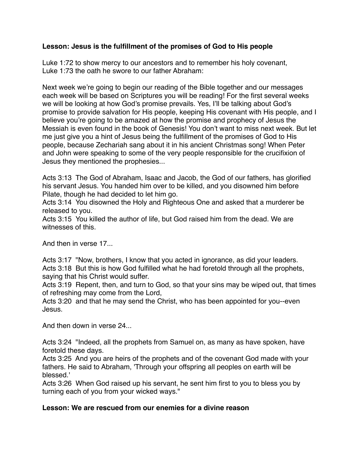#### **Lesson: Jesus is the fulfillment of the promises of God to His people**

Luke 1:72 to show mercy to our ancestors and to remember his holy covenant, Luke 1:73 the oath he swore to our father Abraham:

Next week we're going to begin our reading of the Bible together and our messages each week will be based on Scriptures you will be reading! For the first several weeks we will be looking at how God's promise prevails. Yes, I'll be talking about God's promise to provide salvation for His people, keeping His covenant with His people, and I believe you're going to be amazed at how the promise and prophecy of Jesus the Messiah is even found in the book of Genesis! You don't want to miss next week. But let me just give you a hint of Jesus being the fulfillment of the promises of God to His people, because Zechariah sang about it in his ancient Christmas song! When Peter and John were speaking to some of the very people responsible for the crucifixion of Jesus they mentioned the prophesies...

Acts 3:13 The God of Abraham, Isaac and Jacob, the God of our fathers, has glorified his servant Jesus. You handed him over to be killed, and you disowned him before Pilate, though he had decided to let him go.

Acts 3:14 You disowned the Holy and Righteous One and asked that a murderer be released to you.

Acts 3:15 You killed the author of life, but God raised him from the dead. We are witnesses of this.

And then in verse 17...

Acts 3:17 "Now, brothers, I know that you acted in ignorance, as did your leaders. Acts 3:18 But this is how God fulfilled what he had foretold through all the prophets, saying that his Christ would suffer.

Acts 3:19 Repent, then, and turn to God, so that your sins may be wiped out, that times of refreshing may come from the Lord,

Acts 3:20 and that he may send the Christ, who has been appointed for you--even Jesus.

And then down in verse 24

Acts 3:24 "Indeed, all the prophets from Samuel on, as many as have spoken, have foretold these days.

Acts 3:25 And you are heirs of the prophets and of the covenant God made with your fathers. He said to Abraham, 'Through your offspring all peoples on earth will be blessed.'

Acts 3:26 When God raised up his servant, he sent him first to you to bless you by turning each of you from your wicked ways."

#### **Lesson: We are rescued from our enemies for a divine reason**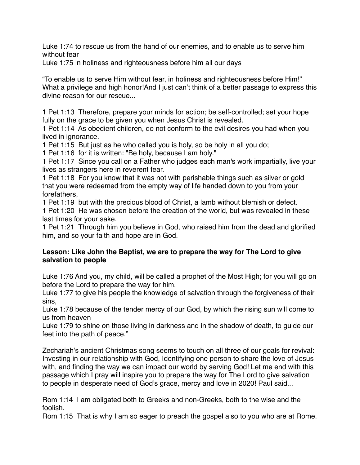Luke 1:74 to rescue us from the hand of our enemies, and to enable us to serve him without fear

Luke 1:75 in holiness and righteousness before him all our days

"To enable us to serve Him without fear, in holiness and righteousness before Him!" What a privilege and high honor!And I just can't think of a better passage to express this divine reason for our rescue...

1 Pet 1:13 Therefore, prepare your minds for action; be self-controlled; set your hope fully on the grace to be given you when Jesus Christ is revealed.

1 Pet 1:14 As obedient children, do not conform to the evil desires you had when you lived in ignorance.

1 Pet 1:15 But just as he who called you is holy, so be holy in all you do;

1 Pet 1:16 for it is written: "Be holy, because I am holy."

1 Pet 1:17 Since you call on a Father who judges each man's work impartially, live your lives as strangers here in reverent fear.

1 Pet 1:18 For you know that it was not with perishable things such as silver or gold that you were redeemed from the empty way of life handed down to you from your forefathers,

1 Pet 1:19 but with the precious blood of Christ, a lamb without blemish or defect. 1 Pet 1:20 He was chosen before the creation of the world, but was revealed in these last times for your sake.

1 Pet 1:21 Through him you believe in God, who raised him from the dead and glorified him, and so your faith and hope are in God.

# **Lesson: Like John the Baptist, we are to prepare the way for The Lord to give salvation to people**

Luke 1:76 And you, my child, will be called a prophet of the Most High; for you will go on before the Lord to prepare the way for him,

Luke 1:77 to give his people the knowledge of salvation through the forgiveness of their sins,

Luke 1:78 because of the tender mercy of our God, by which the rising sun will come to us from heaven

Luke 1:79 to shine on those living in darkness and in the shadow of death, to guide our feet into the path of peace."

Zechariah's ancient Christmas song seems to touch on all three of our goals for revival: Investing in our relationship with God, Identifying one person to share the love of Jesus with, and finding the way we can impact our world by serving God! Let me end with this passage which I pray will inspire you to prepare the way for The Lord to give salvation to people in desperate need of God's grace, mercy and love in 2020! Paul said...

Rom 1:14 I am obligated both to Greeks and non-Greeks, both to the wise and the foolish.

Rom 1:15 That is why I am so eager to preach the gospel also to you who are at Rome.